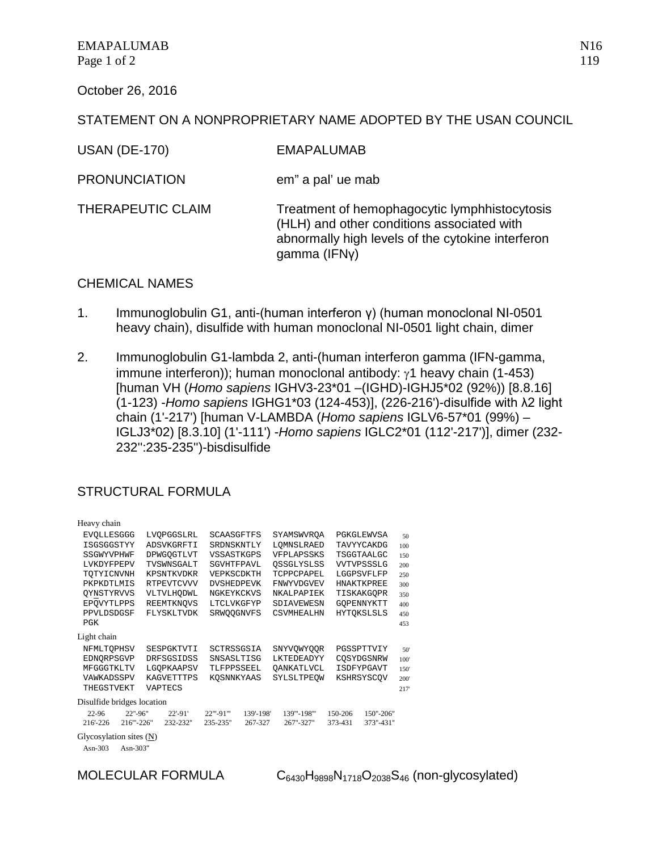October 26, 2016

## STATEMENT ON A NONPROPRIETARY NAME ADOPTED BY THE USAN COUNCIL

| <b>EMAPALUMAB</b> |
|-------------------|
|                   |

PRONUNCIATION em" a pal' ue mab

THERAPEUTIC CLAIM Treatment of hemophagocytic lymphhistocytosis (HLH) and other conditions associated with abnormally high levels of the cytokine interferon gamma (IFNγ)

## CHEMICAL NAMES

- 1. Immunoglobulin G1, anti-(human interferon γ) (human monoclonal NI-0501 heavy chain), disulfide with human monoclonal NI-0501 light chain, dimer
- 2. Immunoglobulin G1-lambda 2, anti-(human interferon gamma (IFN-gamma, immune interferon)); human monoclonal antibody: γ1 heavy chain (1-453) [human VH (*Homo sapiens* IGHV3-23\*01 –(IGHD)-IGHJ5\*02 (92%)) [8.8.16] (1-123) -*Homo sapiens* IGHG1\*03 (124-453)], (226-216')-disulfide with λ2 light chain (1'-217') [human V-LAMBDA (*Homo sapiens* IGLV6-57\*01 (99%) – IGLJ3\*02) [8.3.10] (1'-111') -*Homo sapiens* IGLC2\*01 (112'-217')], dimer (232- 232'':235-235'')-bisdisulfide

## STRUCTURAL FORMULA

| Heavy chain                |                          |            |                   |                   |            |            |             |                   |                   |      |
|----------------------------|--------------------------|------------|-------------------|-------------------|------------|------------|-------------|-------------------|-------------------|------|
| <b>EVOLLESGGG</b>          |                          | LVOPGGSLRL |                   | <b>SCAASGFTFS</b> |            | SYAMSWVROA |             |                   | PGKGLEWVSA        | 50   |
| ISGSGGSTYY                 |                          | ADSVKGRFTI |                   | SRDNSKNTLY        |            | LOMNSLRAED |             | <b>TAVYYCAKDG</b> |                   | 100  |
| SSGWYVPHWF                 |                          |            | DPWGOGTLVT        | VSSASTKGPS        |            |            | VFPLAPSSKS  |                   | TSGGTAALGC        | 150  |
| LVKDYFPEPV                 |                          |            | TVSWNSGALT        | SGVHTFPAVL        |            |            | OSSGLYSLSS  |                   | VVTVPSSSLG        | 200  |
| TOTYICNVNH                 |                          |            | KPSNTKVDKR        | VEPKSCDKTH        |            |            | TCPPCPAPEL  |                   | LGGPSVFLFP        | 250  |
| PKPKDTLMIS                 |                          |            | <b>RTPEVTCVVV</b> | <b>DVSHEDPEVK</b> |            |            | FNWYVDGVEV  |                   | <b>HNAKTKPREE</b> | 300  |
| OYNSTYRVVS                 |                          | VLTVLHODWL |                   | NGKEYKCKVS        |            | NKALPAPIEK |             | TISKAKGOPR        |                   | 350  |
| EPOVYTLPPS                 |                          | REEMTKNQVS |                   | LTCLVKGFYP        |            | SDIAVEWESN |             | GOPENNYKTT        |                   | 400  |
|                            | PPVLDSDGSF<br>FLYSKLTVDK |            | SRWOOGNVFS        |                   | CSVMHEALHN |            |             | <b>HYTOKSLSLS</b> | 450               |      |
| <b>PGK</b>                 |                          |            |                   |                   |            |            |             |                   |                   | 453  |
| Light chain                |                          |            |                   |                   |            |            |             |                   |                   |      |
| NFMLTOPHSV                 |                          |            | SESPGKTVTI        | SCTRSSGSIA        |            |            | SNYVOWYOOR  |                   | PGSSPTTVIY        | 50   |
| EDNORPSGVP                 |                          |            | DRFSGSIDSS        | SNSASLTISG        |            |            | LKTEDEADYY  |                   | COSYDGSNRW        | 100' |
| MFGGGTKLTV                 |                          |            | LGOPKAAPSV        | TLFPPSSEEL        |            |            | OANKATLVCL  |                   | <b>ISDFYPGAVT</b> | 150  |
| VAWKADSSPV                 |                          |            | <b>KAGVETTTPS</b> | KOSNNKYAAS        |            |            | SYLSLTPEOW  |                   | KSHRSYSCOV        | 200  |
| THEGSTVEKT                 |                          |            | VAPTECS           |                   |            |            |             |                   |                   | 217  |
| Disulfide bridges location |                          |            |                   |                   |            |            |             |                   |                   |      |
| 22-96                      | 22"-96"                  |            | $22' - 91'$       | 22"'-91"'         | 139'-198'  |            | 139"'-198"' | 150-206           | 150"-206"         |      |
| 216'-226                   | 216"'-226"               |            | 232-232"          | 235-235"          | 267-327    |            | 267"-327"   | 373-431           | 373"-431"         |      |
| Glycosylation sites (N)    |                          |            |                   |                   |            |            |             |                   |                   |      |
| Asn- $303$                 | Asn-303"                 |            |                   |                   |            |            |             |                   |                   |      |

MOLECULAR FORMULA  $C_{6430}H_{9898}N_{1718}O_{2038}S_{46}$  (non-glycosylated)